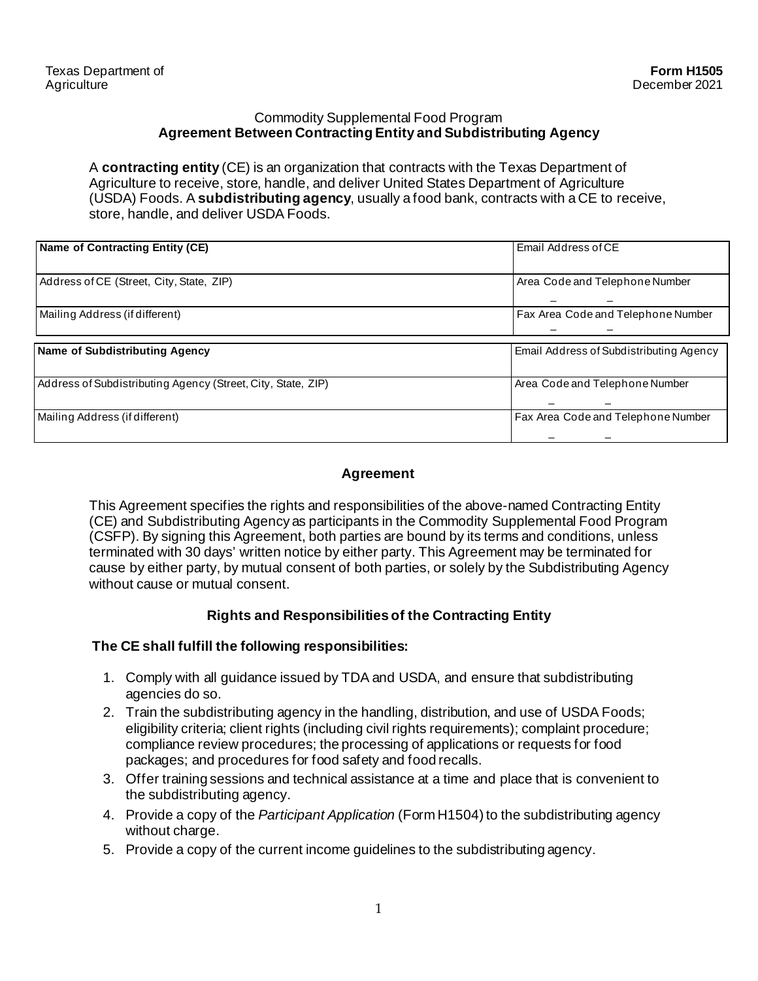#### Commodity Supplemental Food Program **Agreement Between Contracting Entity and Subdistributing Agency**

A **contracting entity** (CE) is an organization that contracts with the Texas Department of Agriculture to receive, store, handle, and deliver United States Department of Agriculture (USDA) Foods. A **subdistributing agency**, usually a food bank, contracts with a CE to receive, store, handle, and deliver USDA Foods.

| Name of Contracting Entity (CE)                              | <b>Email Address of CE</b>              |  |
|--------------------------------------------------------------|-----------------------------------------|--|
|                                                              |                                         |  |
| Address of CE (Street, City, State, ZIP)                     | Area Code and Telephone Number          |  |
|                                                              |                                         |  |
| Mailing Address (if different)                               | Fax Area Code and Telephone Number      |  |
|                                                              |                                         |  |
| Name of Subdistributing Agency                               | Email Address of Subdistributing Agency |  |
|                                                              |                                         |  |
| Address of Subdistributing Agency (Street, City, State, ZIP) | Area Code and Telephone Number          |  |
|                                                              |                                         |  |
| Mailing Address (if different)                               | Fax Area Code and Telephone Number      |  |
|                                                              |                                         |  |

# **Agreement**

This Agreement specifies the rights and responsibilities of the above-named Contracting Entity (CE) and Subdistributing Agency as participants in the Commodity Supplemental Food Program (CSFP). By signing this Agreement, both parties are bound by its terms and conditions, unless terminated with 30 days' written notice by either party. This Agreement may be terminated for cause by either party, by mutual consent of both parties, or solely by the Subdistributing Agency without cause or mutual consent.

## **Rights and Responsibilities of the Contracting Entity**

## **The CE shall fulfill the following responsibilities:**

- 1. Comply with all guidance issued by TDA and USDA, and ensure that subdistributing agencies do so.
- 2. Train the subdistributing agency in the handling, distribution, and use of USDA Foods; eligibility criteria; client rights (including civil rights requirements); complaint procedure; compliance review procedures; the processing of applications or requests for food packages; and procedures for food safety and food recalls.
- 3. Offer training sessions and technical assistance at a time and place that is convenient to the subdistributing agency.
- 4. Provide a copy of the *Participant Application* (Form H1504) to the subdistributing agency without charge.
- 5. Provide a copy of the current income guidelines to the subdistributing agency.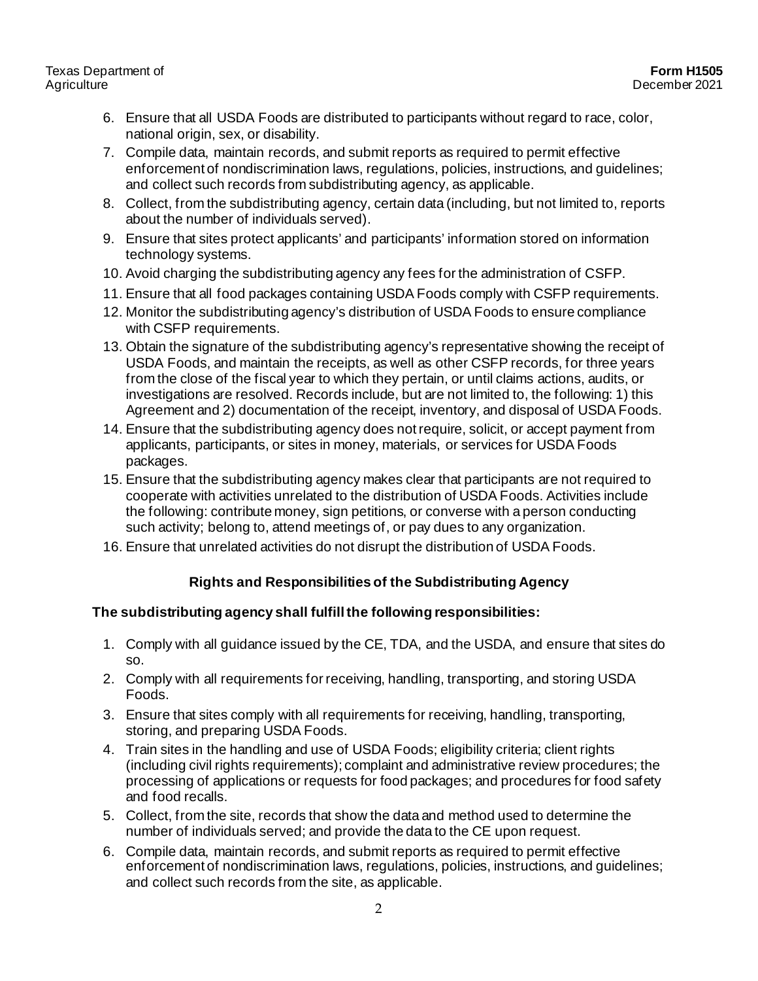- 6. Ensure that all USDA Foods are distributed to participants without regard to race, color, national origin, sex, or disability.
- 7. Compile data, maintain records, and submit reports as required to permit effective enforcement of nondiscrimination laws, regulations, policies, instructions, and guidelines; and collect such records from subdistributing agency, as applicable.
- 8. Collect, from the subdistributing agency, certain data (including, but not limited to, reports about the number of individuals served).
- 9. Ensure that sites protect applicants' and participants' information stored on information technology systems.
- 10. Avoid charging the subdistributing agency any fees for the administration of CSFP.
- 11. Ensure that all food packages containing USDA Foods comply with CSFP requirements.
- 12. Monitor the subdistributing agency's distribution of USDA Foods to ensure compliance with CSFP requirements.
- 13. Obtain the signature of the subdistributing agency's representative showing the receipt of USDA Foods, and maintain the receipts, as well as other CSFP records, for three years from the close of the fiscal year to which they pertain, or until claims actions, audits, or investigations are resolved. Records include, but are not limited to, the following: 1) this Agreement and 2) documentation of the receipt, inventory, and disposal of USDA Foods.
- 14. Ensure that the subdistributing agency does not require, solicit, or accept payment from applicants, participants, or sites in money, materials, or services for USDA Foods packages.
- 15. Ensure that the subdistributing agency makes clear that participants are not required to cooperate with activities unrelated to the distribution of USDA Foods. Activities include the following: contribute money, sign petitions, or converse with a person conducting such activity; belong to, attend meetings of, or pay dues to any organization.
- 16. Ensure that unrelated activities do not disrupt the distribution of USDA Foods.

# **Rights and Responsibilities of the Subdistributing Agency**

# **The subdistributing agency shall fulfill the following responsibilities:**

- 1. Comply with all guidance issued by the CE, TDA, and the USDA, and ensure that sites do so.
- 2. Comply with all requirements for receiving, handling, transporting, and storing USDA Foods.
- 3. Ensure that sites comply with all requirements for receiving, handling, transporting, storing, and preparing USDA Foods.
- 4. Train sites in the handling and use of USDA Foods; eligibility criteria; client rights (including civil rights requirements); complaint and administrative review procedures; the processing of applications or requests for food packages; and procedures for food safety and food recalls.
- 5. Collect, from the site, records that show the data and method used to determine the number of individuals served; and provide the data to the CE upon request.
- 6. Compile data, maintain records, and submit reports as required to permit effective enforcement of nondiscrimination laws, regulations, policies, instructions, and guidelines; and collect such records from the site, as applicable.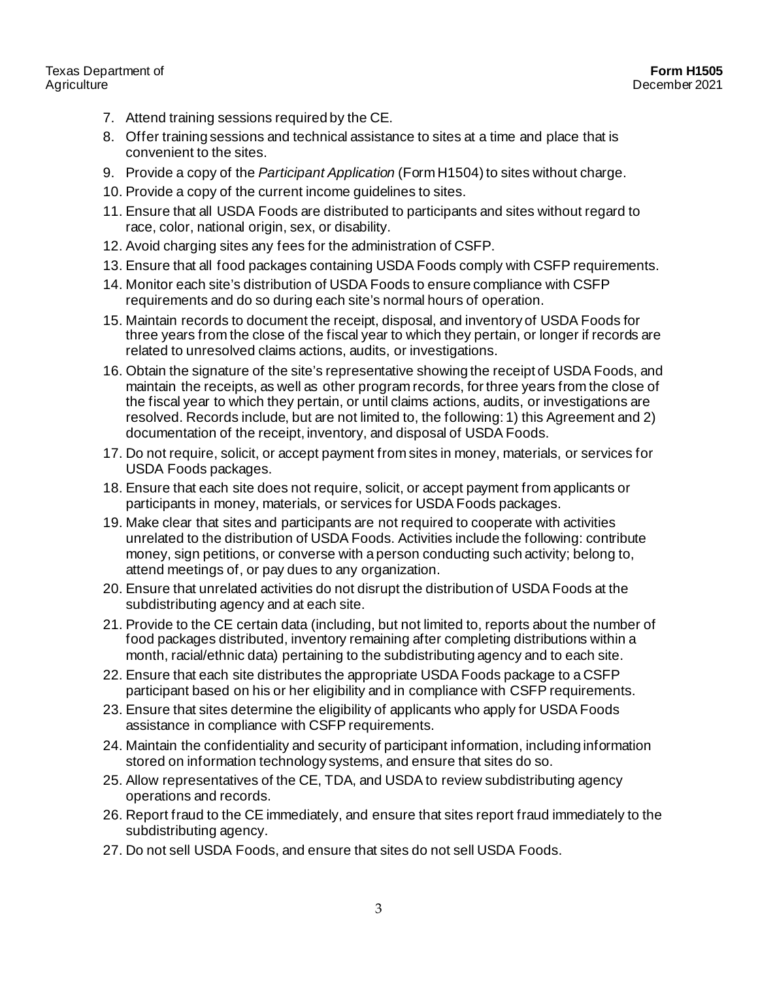#### Texas Department of **Agriculture**

- 7. Attend training sessions required by the CE.
- 8. Offer training sessions and technical assistance to sites at a time and place that is convenient to the sites.
- 9. Provide a copy of the *Participant Application* (Form H1504) to sites without charge.
- 10. Provide a copy of the current income guidelines to sites.
- 11. Ensure that all USDA Foods are distributed to participants and sites without regard to race, color, national origin, sex, or disability.
- 12. Avoid charging sites any fees for the administration of CSFP.
- 13. Ensure that all food packages containing USDA Foods comply with CSFP requirements.
- 14. Monitor each site's distribution of USDA Foods to ensure compliance with CSFP requirements and do so during each site's normal hours of operation.
- 15. Maintain records to document the receipt, disposal, and inventory of USDA Foods for three years from the close of the fiscal year to which they pertain, or longer if records are related to unresolved claims actions, audits, or investigations.
- 16. Obtain the signature of the site's representative showing the receipt of USDA Foods, and maintain the receipts, as well as other program records, for three years from the close of the fiscal year to which they pertain, or until claims actions, audits, or investigations are resolved. Records include, but are not limited to, the following: 1) this Agreement and 2) documentation of the receipt, inventory, and disposal of USDA Foods.
- 17. Do not require, solicit, or accept payment from sites in money, materials, or services for USDA Foods packages.
- 18. Ensure that each site does not require, solicit, or accept payment from applicants or participants in money, materials, or services for USDA Foods packages.
- 19. Make clear that sites and participants are not required to cooperate with activities unrelated to the distribution of USDA Foods. Activities include the following: contribute money, sign petitions, or converse with a person conducting such activity; belong to, attend meetings of, or pay dues to any organization.
- 20. Ensure that unrelated activities do not disrupt the distribution of USDA Foods at the subdistributing agency and at each site.
- 21. Provide to the CE certain data (including, but not limited to, reports about the number of food packages distributed, inventory remaining after completing distributions within a month, racial/ethnic data) pertaining to the subdistributing agency and to each site.
- 22. Ensure that each site distributes the appropriate USDA Foods package to a CSFP participant based on his or her eligibility and in compliance with CSFP requirements.
- 23. Ensure that sites determine the eligibility of applicants who apply for USDA Foods assistance in compliance with CSFP requirements.
- 24. Maintain the confidentiality and security of participant information, including information stored on information technology systems, and ensure that sites do so.
- 25. Allow representatives of the CE, TDA, and USDA to review subdistributing agency operations and records.
- 26. Report fraud to the CE immediately, and ensure that sites report fraud immediately to the subdistributing agency.
- 27. Do not sell USDA Foods, and ensure that sites do not sell USDA Foods.